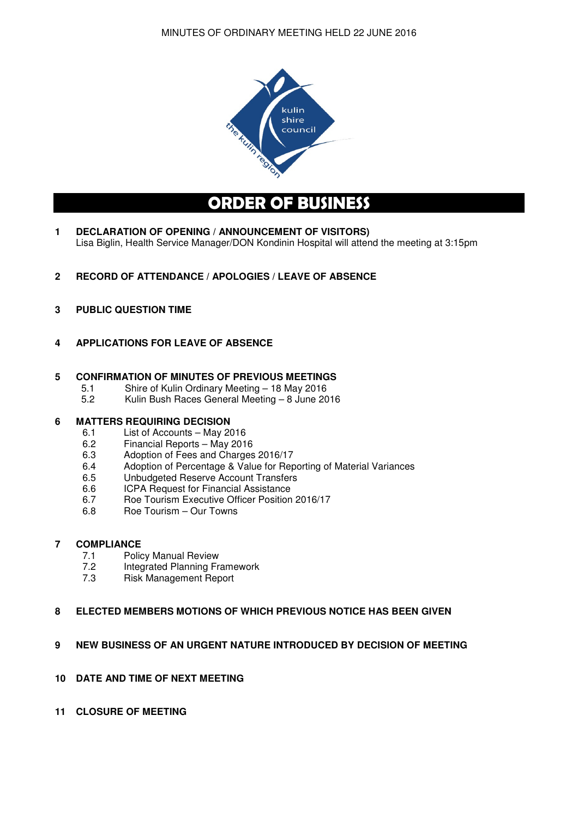

# **ORDER OF BUSINESS**

- **1 DECLARATION OF OPENING / ANNOUNCEMENT OF VISITORS)**  Lisa Biglin, Health Service Manager/DON Kondinin Hospital will attend the meeting at 3:15pm
- **2 RECORD OF ATTENDANCE / APOLOGIES / LEAVE OF ABSENCE**
- **3 PUBLIC QUESTION TIME**
- **4 APPLICATIONS FOR LEAVE OF ABSENCE**

# **5 CONFIRMATION OF MINUTES OF PREVIOUS MEETINGS**<br>5.1 Shire of Kulin Ordinary Meeting – 18 May 2016

- 5.1 Shire of Kulin Ordinary Meeting 18 May 2016
- 5.2 Kulin Bush Races General Meeting 8 June 2016

# **6 MATTERS REQUIRING DECISION**

- 6.1 List of Accounts May 2016
- 6.2 Financial Reports May 2016
- 6.3 Adoption of Fees and Charges 2016/17
- 6.4 Adoption of Percentage & Value for Reporting of Material Variances
- 6.5 Unbudgeted Reserve Account Transfers
- 6.6 ICPA Request for Financial Assistance
- 6.7 Roe Tourism Executive Officer Position 2016/17
- 6.8 Roe Tourism Our Towns

# **7 COMPLIANCE**

- 7.1 Policy Manual Review
- 7.2 Integrated Planning Framework
- 7.3 Risk Management Report

# **8 ELECTED MEMBERS MOTIONS OF WHICH PREVIOUS NOTICE HAS BEEN GIVEN**

# **9 NEW BUSINESS OF AN URGENT NATURE INTRODUCED BY DECISION OF MEETING**

- **10 DATE AND TIME OF NEXT MEETING**
- **11 CLOSURE OF MEETING**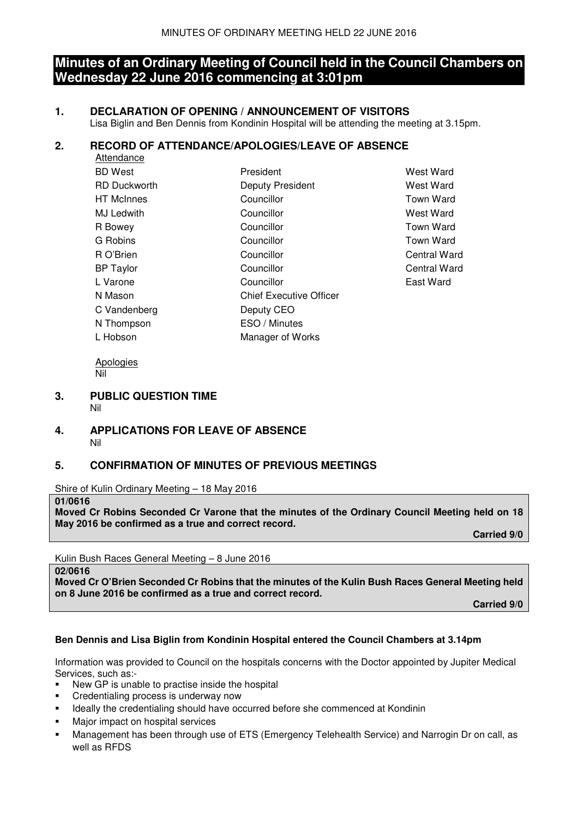# **Minutes of an Ordinary Meeting of Council held in the Council Chambers on Wednesday 22 June 2016 commencing at 3:01pm**

# **1. DECLARATION OF OPENING / ANNOUNCEMENT OF VISITORS**

Lisa Biglin and Ben Dennis from Kondinin Hospital will be attending the meeting at 3.15pm.

# **2. RECORD OF ATTENDANCE/APOLOGIES/LEAVE OF ABSENCE**

| Attendance          |                                |                  |
|---------------------|--------------------------------|------------------|
| <b>BD</b> West      | President                      | West Ward        |
| <b>RD Duckworth</b> | Deputy President               | West Ward        |
| <b>HT</b> McInnes   | Councillor                     | <b>Town Ward</b> |
| MJ Ledwith          | Councillor                     | West Ward        |
| R Bowey             | Councillor                     | <b>Town Ward</b> |
| G Robins            | Councillor                     | Town Ward        |
| R O'Brien           | Councillor                     | Central Ward     |
| <b>BP</b> Taylor    | Councillor                     | Central Ward     |
| L Varone            | Councillor                     | East Ward        |
| N Mason             | <b>Chief Executive Officer</b> |                  |
| C Vandenberg        | Deputy CEO                     |                  |
| N Thompson          | ESO / Minutes                  |                  |
| L Hobson            | Manager of Works               |                  |
|                     |                                |                  |

 Apologies Nil

#### **3. PUBLIC QUESTION TIME**  Nil

# **4. APPLICATIONS FOR LEAVE OF ABSENCE**  Nil

# **5. CONFIRMATION OF MINUTES OF PREVIOUS MEETINGS**

Shire of Kulin Ordinary Meeting – 18 May 2016

#### **01/0616**

**Moved Cr Robins Seconded Cr Varone that the minutes of the Ordinary Council Meeting held on 18 May 2016 be confirmed as a true and correct record.** 

 **Carried 9/0** 

Kulin Bush Races General Meeting – 8 June 2016

**02/0616** 

**Moved Cr O'Brien Seconded Cr Robins that the minutes of the Kulin Bush Races General Meeting held on 8 June 2016 be confirmed as a true and correct record.** 

**Carried 9/0** 

# **Ben Dennis and Lisa Biglin from Kondinin Hospital entered the Council Chambers at 3.14pm**

Information was provided to Council on the hospitals concerns with the Doctor appointed by Jupiter Medical Services, such as:-

- New GP is unable to practise inside the hospital
- Credentialing process is underway now
- Ideally the credentialing should have occurred before she commenced at Kondinin
- **Major impact on hospital services**
- Management has been through use of ETS (Emergency Telehealth Service) and Narrogin Dr on call, as well as RFDS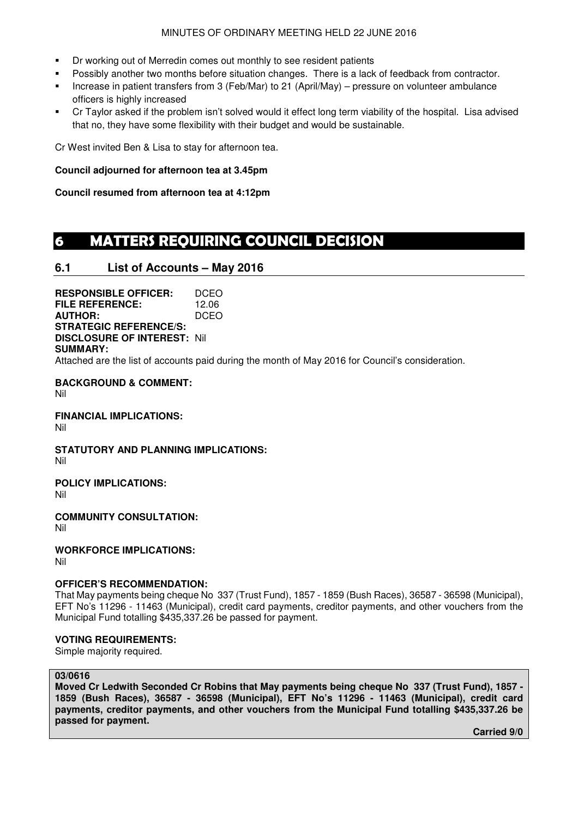#### MINUTES OF ORDINARY MEETING HELD 22 JUNE 2016

- Dr working out of Merredin comes out monthly to see resident patients
- **Possibly another two months before situation changes. There is a lack of feedback from contractor.**
- Increase in patient transfers from 3 (Feb/Mar) to 21 (April/May) pressure on volunteer ambulance officers is highly increased
- Cr Taylor asked if the problem isn't solved would it effect long term viability of the hospital. Lisa advised that no, they have some flexibility with their budget and would be sustainable.

Cr West invited Ben & Lisa to stay for afternoon tea.

# **Council adjourned for afternoon tea at 3.45pm**

**Council resumed from afternoon tea at 4:12pm** 

# **6 MATTERS REQUIRING COUNCIL DECISION**

# **6.1 List of Accounts – May 2016**

**RESPONSIBLE OFFICER:** DCEO **FILE REFERENCE:** 12.06 **AUTHOR:** DCEO **STRATEGIC REFERENCE/S: DISCLOSURE OF INTEREST:** Nil **SUMMARY:** 

Attached are the list of accounts paid during the month of May 2016 for Council's consideration.

**BACKGROUND & COMMENT:**  Nil

**FINANCIAL IMPLICATIONS:**  Nil

**STATUTORY AND PLANNING IMPLICATIONS:**  Nil

**POLICY IMPLICATIONS:** 

Nil

**COMMUNITY CONSULTATION:** 

Nil

**WORKFORCE IMPLICATIONS:** 

Nil

# **OFFICER'S RECOMMENDATION:**

That May payments being cheque No 337 (Trust Fund), 1857 - 1859 (Bush Races), 36587 - 36598 (Municipal), EFT No's 11296 - 11463 (Municipal), credit card payments, creditor payments, and other vouchers from the Municipal Fund totalling \$435,337.26 be passed for payment.

# **VOTING REQUIREMENTS:**

Simple majority required.

# **03/0616**

**Moved Cr Ledwith Seconded Cr Robins that May payments being cheque No 337 (Trust Fund), 1857 - 1859 (Bush Races), 36587 - 36598 (Municipal), EFT No's 11296 - 11463 (Municipal), credit card payments, creditor payments, and other vouchers from the Municipal Fund totalling \$435,337.26 be passed for payment.** 

 **Carried 9/0**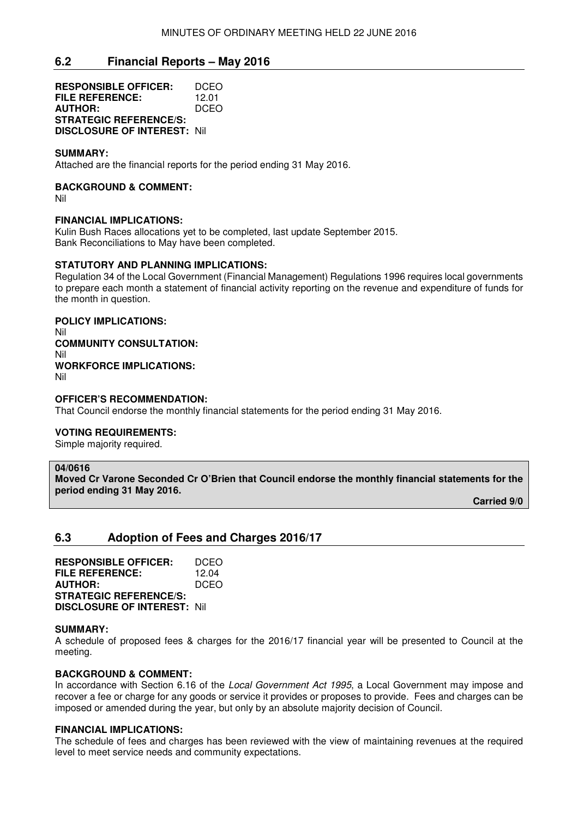# **6.2 Financial Reports – May 2016**

**RESPONSIBLE OFFICER:** DCEO **FILE REFERENCE:** 12.01 **AUTHOR:** DCEO **STRATEGIC REFERENCE/S: DISCLOSURE OF INTEREST:** Nil

#### **SUMMARY:**

Attached are the financial reports for the period ending 31 May 2016.

#### **BACKGROUND & COMMENT:**

Nil

#### **FINANCIAL IMPLICATIONS:**

Kulin Bush Races allocations yet to be completed, last update September 2015. Bank Reconciliations to May have been completed.

### **STATUTORY AND PLANNING IMPLICATIONS:**

Regulation 34 of the Local Government (Financial Management) Regulations 1996 requires local governments to prepare each month a statement of financial activity reporting on the revenue and expenditure of funds for the month in question.

# **POLICY IMPLICATIONS:**  Nil

**COMMUNITY CONSULTATION:**  Nil **WORKFORCE IMPLICATIONS:**  Nil

#### **OFFICER'S RECOMMENDATION:**

That Council endorse the monthly financial statements for the period ending 31 May 2016.

#### **VOTING REQUIREMENTS:**

Simple majority required.

#### **04/0616**

**Moved Cr Varone Seconded Cr O'Brien that Council endorse the monthly financial statements for the period ending 31 May 2016.** 

 **Carried 9/0** 

# **6.3 Adoption of Fees and Charges 2016/17**

**RESPONSIBLE OFFICER:** DCEO **FILE REFERENCE:** 12.04<br>**AUTHOR:** DCEO **AUTHOR: STRATEGIC REFERENCE/S: DISCLOSURE OF INTEREST:** Nil

#### **SUMMARY:**

A schedule of proposed fees & charges for the 2016/17 financial year will be presented to Council at the meeting.

#### **BACKGROUND & COMMENT:**

In accordance with Section 6.16 of the Local Government Act 1995, a Local Government may impose and recover a fee or charge for any goods or service it provides or proposes to provide. Fees and charges can be imposed or amended during the year, but only by an absolute majority decision of Council.

#### **FINANCIAL IMPLICATIONS:**

The schedule of fees and charges has been reviewed with the view of maintaining revenues at the required level to meet service needs and community expectations.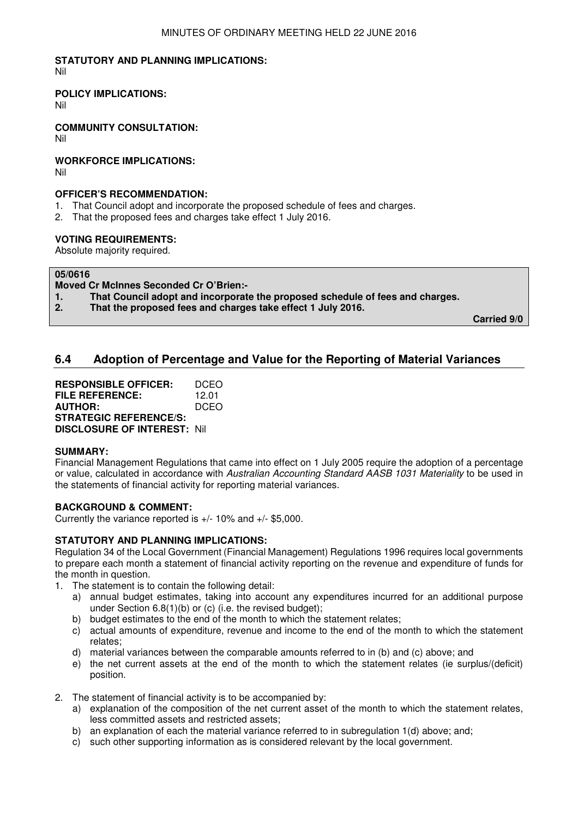# **STATUTORY AND PLANNING IMPLICATIONS:**

Nil

# **POLICY IMPLICATIONS:**

Nil

**COMMUNITY CONSULTATION:**

Nil

# **WORKFORCE IMPLICATIONS:**

Nil

# **OFFICER'S RECOMMENDATION:**

- 1. That Council adopt and incorporate the proposed schedule of fees and charges.
- 2. That the proposed fees and charges take effect 1 July 2016.

# **VOTING REQUIREMENTS:**

Absolute majority required.

# **05/0616**

**Moved Cr McInnes Seconded Cr O'Brien:-** 

- **1. That Council adopt and incorporate the proposed schedule of fees and charges.**
- **2. That the proposed fees and charges take effect 1 July 2016.**

**Carried 9/0** 

# **6.4 Adoption of Percentage and Value for the Reporting of Material Variances**

| <b>RESPONSIBLE OFFICER:</b>         | DCEO  |
|-------------------------------------|-------|
| <b>FILE REFERENCE:</b>              | 12.01 |
| <b>AUTHOR:</b>                      | DCEO  |
| <b>STRATEGIC REFERENCE/S:</b>       |       |
| <b>DISCLOSURE OF INTEREST: Nill</b> |       |

# **SUMMARY:**

Financial Management Regulations that came into effect on 1 July 2005 require the adoption of a percentage or value, calculated in accordance with Australian Accounting Standard AASB 1031 Materiality to be used in the statements of financial activity for reporting material variances.

# **BACKGROUND & COMMENT:**

Currently the variance reported is +/- 10% and +/- \$5,000.

# **STATUTORY AND PLANNING IMPLICATIONS:**

Regulation 34 of the Local Government (Financial Management) Regulations 1996 requires local governments to prepare each month a statement of financial activity reporting on the revenue and expenditure of funds for the month in question.

- 1. The statement is to contain the following detail:
	- a) annual budget estimates, taking into account any expenditures incurred for an additional purpose under Section 6.8(1)(b) or (c) (i.e. the revised budget);
	- b) budget estimates to the end of the month to which the statement relates;
	- c) actual amounts of expenditure, revenue and income to the end of the month to which the statement relates;
	- d) material variances between the comparable amounts referred to in (b) and (c) above; and
	- e) the net current assets at the end of the month to which the statement relates (ie surplus/(deficit) position.
- 2. The statement of financial activity is to be accompanied by:
	- a) explanation of the composition of the net current asset of the month to which the statement relates, less committed assets and restricted assets;
	- b) an explanation of each the material variance referred to in subregulation 1(d) above: and:
	- c) such other supporting information as is considered relevant by the local government.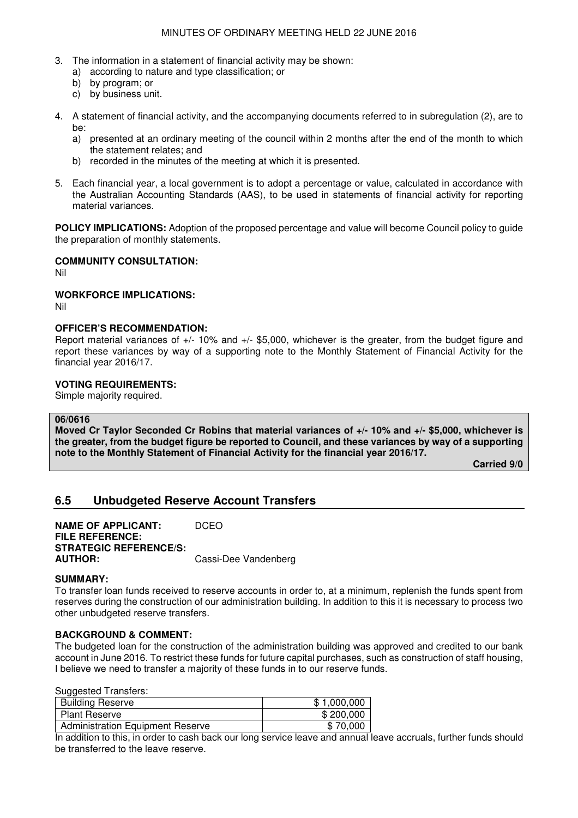- 3. The information in a statement of financial activity may be shown:
	- a) according to nature and type classification; or
	- b) by program; or
	- c) by business unit.
- 4. A statement of financial activity, and the accompanying documents referred to in subregulation (2), are to he<sup>.</sup>
	- a) presented at an ordinary meeting of the council within 2 months after the end of the month to which the statement relates; and
	- b) recorded in the minutes of the meeting at which it is presented.
- 5. Each financial year, a local government is to adopt a percentage or value, calculated in accordance with the Australian Accounting Standards (AAS), to be used in statements of financial activity for reporting material variances.

**POLICY IMPLICATIONS:** Adoption of the proposed percentage and value will become Council policy to guide the preparation of monthly statements.

# **COMMUNITY CONSULTATION:**

Nil

# **WORKFORCE IMPLICATIONS:**

Nil

# **OFFICER'S RECOMMENDATION:**

Report material variances of +/- 10% and +/- \$5,000, whichever is the greater, from the budget figure and report these variances by way of a supporting note to the Monthly Statement of Financial Activity for the financial year 2016/17.

# **VOTING REQUIREMENTS:**

Simple majority required.

# **06/0616**

**Moved Cr Taylor Seconded Cr Robins that material variances of +/- 10% and +/- \$5,000, whichever is the greater, from the budget figure be reported to Council, and these variances by way of a supporting note to the Monthly Statement of Financial Activity for the financial year 2016/17.** 

**Carried 9/0** 

# **6.5 Unbudgeted Reserve Account Transfers**

**NAME OF APPLICANT: DCEO FILE REFERENCE: STRATEGIC REFERENCE/S: AUTHOR:** Cassi-Dee Vandenberg

# **SUMMARY:**

To transfer loan funds received to reserve accounts in order to, at a minimum, replenish the funds spent from reserves during the construction of our administration building. In addition to this it is necessary to process two other unbudgeted reserve transfers.

# **BACKGROUND & COMMENT:**

The budgeted loan for the construction of the administration building was approved and credited to our bank account in June 2016. To restrict these funds for future capital purchases, such as construction of staff housing, I believe we need to transfer a majority of these funds in to our reserve funds.

Suggested Transfers:

| Caggoolog Hanoloio.              |             |
|----------------------------------|-------------|
| <b>Building Reserve</b>          | \$1,000,000 |
| <b>Plant Reserve</b>             | \$200,000   |
| Administration Equipment Reserve | \$70,000    |

In addition to this, in order to cash back our long service leave and annual leave accruals, further funds should be transferred to the leave reserve.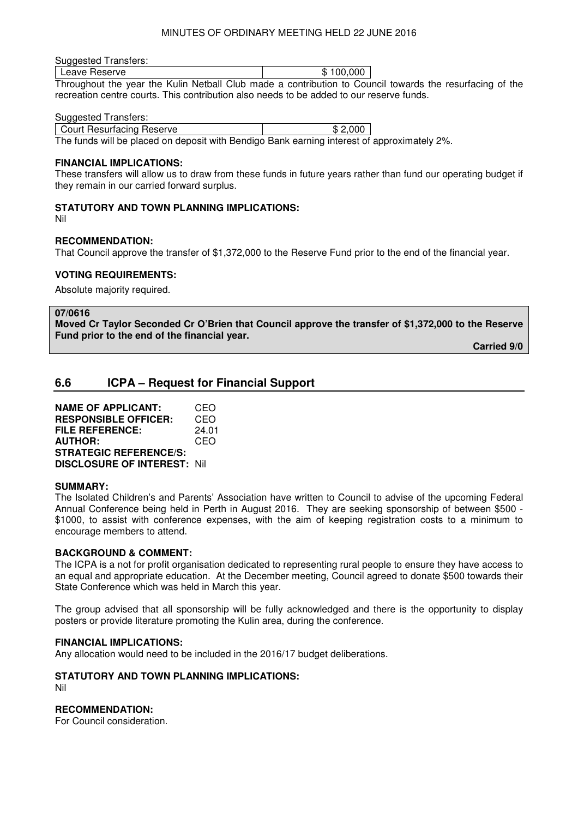#### MINUTES OF ORDINARY MEETING HELD 22 JUNE 2016

#### Suggested Transfers:

| I Leave Reserve | \$100.000 |  |
|-----------------|-----------|--|
|                 |           |  |

Throughout the year the Kulin Netball Club made a contribution to Council towards the resurfacing of the recreation centre courts. This contribution also needs to be added to our reserve funds.

#### Suggested Transfers:

Court Resurfacing Reserve \$2,000

The funds will be placed on deposit with Bendigo Bank earning interest of approximately 2%.

#### **FINANCIAL IMPLICATIONS:**

These transfers will allow us to draw from these funds in future years rather than fund our operating budget if they remain in our carried forward surplus.

#### **STATUTORY AND TOWN PLANNING IMPLICATIONS:**

Nil

#### **RECOMMENDATION:**

That Council approve the transfer of \$1,372,000 to the Reserve Fund prior to the end of the financial year.

#### **VOTING REQUIREMENTS:**

Absolute majority required.

#### **07/0616**

**Moved Cr Taylor Seconded Cr O'Brien that Council approve the transfer of \$1,372,000 to the Reserve Fund prior to the end of the financial year.** 

**Carried 9/0** 

# **6.6 ICPA – Request for Financial Support**

| <b>NAME OF APPLICANT:</b>          | CEO   |
|------------------------------------|-------|
| <b>RESPONSIBLE OFFICER:</b>        | CEO   |
| <b>FILE REFERENCE:</b>             | 24.01 |
| <b>AUTHOR:</b>                     | CEO   |
| <b>STRATEGIC REFERENCE/S:</b>      |       |
| <b>DISCLOSURE OF INTEREST: Nil</b> |       |

#### **SUMMARY:**

The Isolated Children's and Parents' Association have written to Council to advise of the upcoming Federal Annual Conference being held in Perth in August 2016. They are seeking sponsorship of between \$500 - \$1000, to assist with conference expenses, with the aim of keeping registration costs to a minimum to encourage members to attend.

#### **BACKGROUND & COMMENT:**

The ICPA is a not for profit organisation dedicated to representing rural people to ensure they have access to an equal and appropriate education. At the December meeting, Council agreed to donate \$500 towards their State Conference which was held in March this year.

The group advised that all sponsorship will be fully acknowledged and there is the opportunity to display posters or provide literature promoting the Kulin area, during the conference.

#### **FINANCIAL IMPLICATIONS:**

Any allocation would need to be included in the 2016/17 budget deliberations.

# **STATUTORY AND TOWN PLANNING IMPLICATIONS:**

Nil

### **RECOMMENDATION:**

For Council consideration.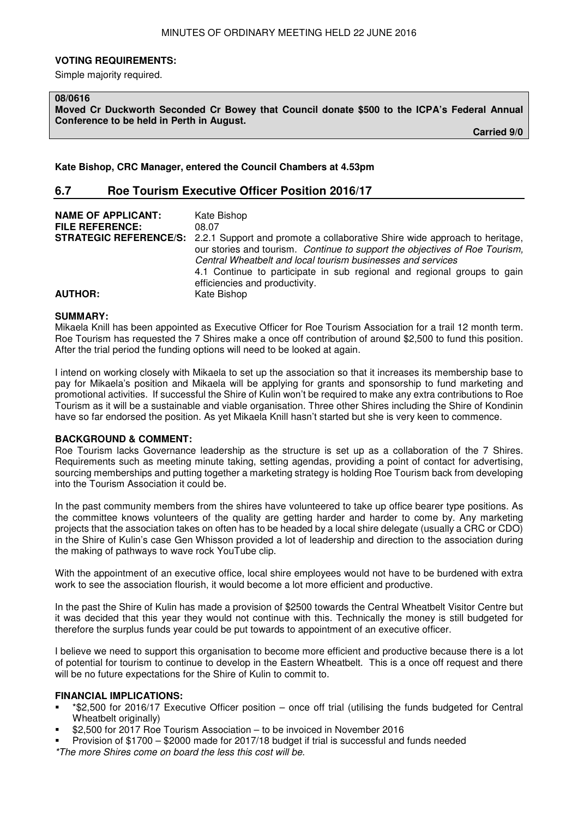#### **VOTING REQUIREMENTS:**

Simple majority required.

#### **08/0616**

**Moved Cr Duckworth Seconded Cr Bowey that Council donate \$500 to the ICPA's Federal Annual Conference to be held in Perth in August.** 

**Carried 9/0** 

**Kate Bishop, CRC Manager, entered the Council Chambers at 4.53pm** 

# **6.7 Roe Tourism Executive Officer Position 2016/17**

| <b>NAME OF APPLICANT:</b><br><b>FILE REFERENCE:</b> | Kate Bishop<br>08.07<br><b>STRATEGIC REFERENCE/S:</b> 2.2.1 Support and promote a collaborative Shire wide approach to heritage,<br>our stories and tourism. Continue to support the objectives of Roe Tourism,<br>Central Wheatbelt and local tourism businesses and services<br>4.1 Continue to participate in sub regional and regional groups to gain |
|-----------------------------------------------------|-----------------------------------------------------------------------------------------------------------------------------------------------------------------------------------------------------------------------------------------------------------------------------------------------------------------------------------------------------------|
| <b>AUTHOR:</b>                                      | efficiencies and productivity.<br>Kate Bishop                                                                                                                                                                                                                                                                                                             |

#### **SUMMARY:**

Mikaela Knill has been appointed as Executive Officer for Roe Tourism Association for a trail 12 month term. Roe Tourism has requested the 7 Shires make a once off contribution of around \$2,500 to fund this position. After the trial period the funding options will need to be looked at again.

I intend on working closely with Mikaela to set up the association so that it increases its membership base to pay for Mikaela's position and Mikaela will be applying for grants and sponsorship to fund marketing and promotional activities. If successful the Shire of Kulin won't be required to make any extra contributions to Roe Tourism as it will be a sustainable and viable organisation. Three other Shires including the Shire of Kondinin have so far endorsed the position. As yet Mikaela Knill hasn't started but she is very keen to commence.

#### **BACKGROUND & COMMENT:**

Roe Tourism lacks Governance leadership as the structure is set up as a collaboration of the 7 Shires. Requirements such as meeting minute taking, setting agendas, providing a point of contact for advertising, sourcing memberships and putting together a marketing strategy is holding Roe Tourism back from developing into the Tourism Association it could be.

In the past community members from the shires have volunteered to take up office bearer type positions. As the committee knows volunteers of the quality are getting harder and harder to come by. Any marketing projects that the association takes on often has to be headed by a local shire delegate (usually a CRC or CDO) in the Shire of Kulin's case Gen Whisson provided a lot of leadership and direction to the association during the making of pathways to wave rock YouTube clip.

With the appointment of an executive office, local shire employees would not have to be burdened with extra work to see the association flourish, it would become a lot more efficient and productive.

In the past the Shire of Kulin has made a provision of \$2500 towards the Central Wheatbelt Visitor Centre but it was decided that this year they would not continue with this. Technically the money is still budgeted for therefore the surplus funds year could be put towards to appointment of an executive officer.

I believe we need to support this organisation to become more efficient and productive because there is a lot of potential for tourism to continue to develop in the Eastern Wheatbelt. This is a once off request and there will be no future expectations for the Shire of Kulin to commit to.

# **FINANCIAL IMPLICATIONS:**

- \*\$2,500 for 2016/17 Executive Officer position once off trial (utilising the funds budgeted for Central Wheatbelt originally)
- \$2,500 for 2017 Roe Tourism Association to be invoiced in November 2016
- Provision of \$1700 \$2000 made for 2017/18 budget if trial is successful and funds needed
- \*The more Shires come on board the less this cost will be.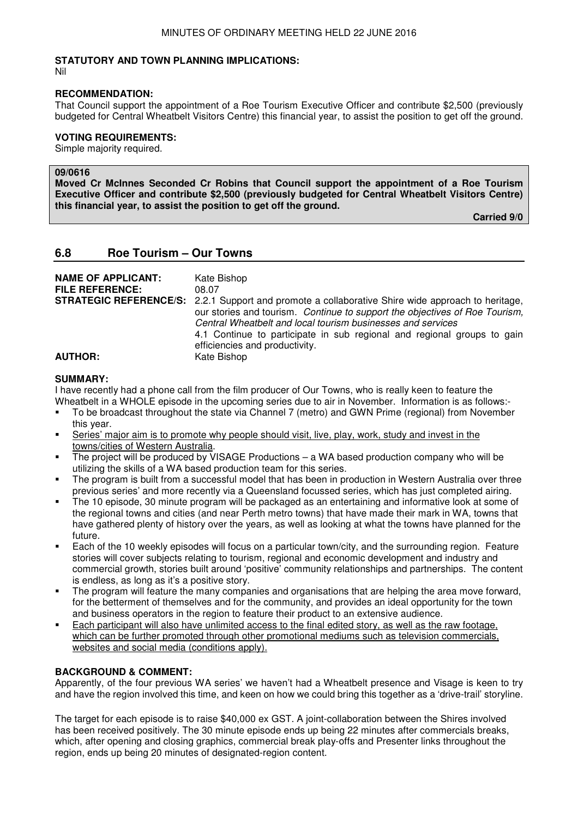### **STATUTORY AND TOWN PLANNING IMPLICATIONS:**

Nil

#### **RECOMMENDATION:**

That Council support the appointment of a Roe Tourism Executive Officer and contribute \$2,500 (previously budgeted for Central Wheatbelt Visitors Centre) this financial year, to assist the position to get off the ground.

# **VOTING REQUIREMENTS:**

Simple majority required.

# **09/0616**

**Moved Cr McInnes Seconded Cr Robins that Council support the appointment of a Roe Tourism Executive Officer and contribute \$2,500 (previously budgeted for Central Wheatbelt Visitors Centre) this financial year, to assist the position to get off the ground.** 

**Carried 9/0** 

# **6.8 Roe Tourism – Our Towns**

| <b>NAME OF APPLICANT:</b><br><b>FILE REFERENCE:</b> | Kate Bishop<br>08.07<br><b>STRATEGIC REFERENCE/S:</b> 2.2.1 Support and promote a collaborative Shire wide approach to heritage,<br>our stories and tourism. Continue to support the objectives of Roe Tourism,<br>Central Wheatbelt and local tourism businesses and services<br>4.1 Continue to participate in sub regional and regional groups to gain |
|-----------------------------------------------------|-----------------------------------------------------------------------------------------------------------------------------------------------------------------------------------------------------------------------------------------------------------------------------------------------------------------------------------------------------------|
| <b>AUTHOR:</b>                                      | efficiencies and productivity.<br>Kate Bishop                                                                                                                                                                                                                                                                                                             |

#### **SUMMARY:**

I have recently had a phone call from the film producer of Our Towns, who is really keen to feature the Wheatbelt in a WHOLE episode in the upcoming series due to air in November. Information is as follows:-

- To be broadcast throughout the state via Channel 7 (metro) and GWN Prime (regional) from November this year.
- Series' major aim is to promote why people should visit, live, play, work, study and invest in the towns/cities of Western Australia.
- The project will be produced by VISAGE Productions a WA based production company who will be utilizing the skills of a WA based production team for this series.
- The program is built from a successful model that has been in production in Western Australia over three previous series' and more recently via a Queensland focussed series, which has just completed airing.
- The 10 episode, 30 minute program will be packaged as an entertaining and informative look at some of the regional towns and cities (and near Perth metro towns) that have made their mark in WA, towns that have gathered plenty of history over the years, as well as looking at what the towns have planned for the future.
- Each of the 10 weekly episodes will focus on a particular town/city, and the surrounding region. Feature stories will cover subjects relating to tourism, regional and economic development and industry and commercial growth, stories built around 'positive' community relationships and partnerships. The content is endless, as long as it's a positive story.
- The program will feature the many companies and organisations that are helping the area move forward, for the betterment of themselves and for the community, and provides an ideal opportunity for the town and business operators in the region to feature their product to an extensive audience.
- Each participant will also have unlimited access to the final edited story, as well as the raw footage, which can be further promoted through other promotional mediums such as television commercials, websites and social media (conditions apply).

# **BACKGROUND & COMMENT:**

Apparently, of the four previous WA series' we haven't had a Wheatbelt presence and Visage is keen to try and have the region involved this time, and keen on how we could bring this together as a 'drive-trail' storyline.

The target for each episode is to raise \$40,000 ex GST. A joint-collaboration between the Shires involved has been received positively. The 30 minute episode ends up being 22 minutes after commercials breaks, which, after opening and closing graphics, commercial break play-offs and Presenter links throughout the region, ends up being 20 minutes of designated-region content.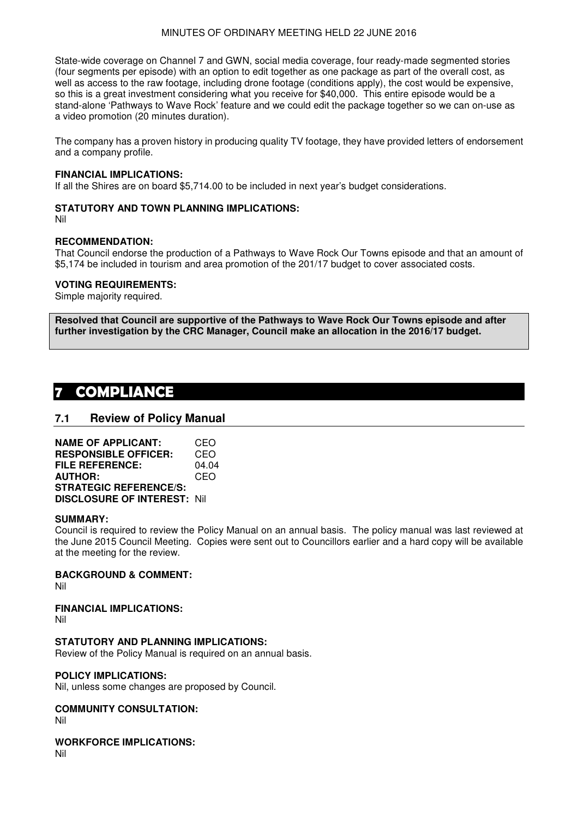State-wide coverage on Channel 7 and GWN, social media coverage, four ready-made segmented stories (four segments per episode) with an option to edit together as one package as part of the overall cost, as well as access to the raw footage, including drone footage (conditions apply), the cost would be expensive, so this is a great investment considering what you receive for \$40,000. This entire episode would be a stand-alone 'Pathways to Wave Rock' feature and we could edit the package together so we can on-use as a video promotion (20 minutes duration).

The company has a proven history in producing quality TV footage, they have provided letters of endorsement and a company profile.

#### **FINANCIAL IMPLICATIONS:**

If all the Shires are on board \$5,714.00 to be included in next year's budget considerations.

### **STATUTORY AND TOWN PLANNING IMPLICATIONS:**

Nil

#### **RECOMMENDATION:**

That Council endorse the production of a Pathways to Wave Rock Our Towns episode and that an amount of \$5,174 be included in tourism and area promotion of the 201/17 budget to cover associated costs.

#### **VOTING REQUIREMENTS:**

Simple majority required.

**Resolved that Council are supportive of the Pathways to Wave Rock Our Towns episode and after further investigation by the CRC Manager, Council make an allocation in the 2016/17 budget.** 

# **7 COMPLIANCE**

# **7.1 Review of Policy Manual**

| <b>NAME OF APPLICANT:</b>          | CEO   |
|------------------------------------|-------|
| <b>RESPONSIBLE OFFICER:</b>        | CEO   |
| <b>FILE REFERENCE:</b>             | 04.04 |
| <b>AUTHOR:</b>                     | CEO   |
| <b>STRATEGIC REFERENCE/S:</b>      |       |
| <b>DISCLOSURE OF INTEREST: Nil</b> |       |

#### **SUMMARY:**

Council is required to review the Policy Manual on an annual basis. The policy manual was last reviewed at the June 2015 Council Meeting. Copies were sent out to Councillors earlier and a hard copy will be available at the meeting for the review.

#### **BACKGROUND & COMMENT:**

Nil

#### **FINANCIAL IMPLICATIONS:** Nil

# **STATUTORY AND PLANNING IMPLICATIONS:**

Review of the Policy Manual is required on an annual basis.

#### **POLICY IMPLICATIONS:**

Nil, unless some changes are proposed by Council.

# **COMMUNITY CONSULTATION:**

Nil

**WORKFORCE IMPLICATIONS:**

Nil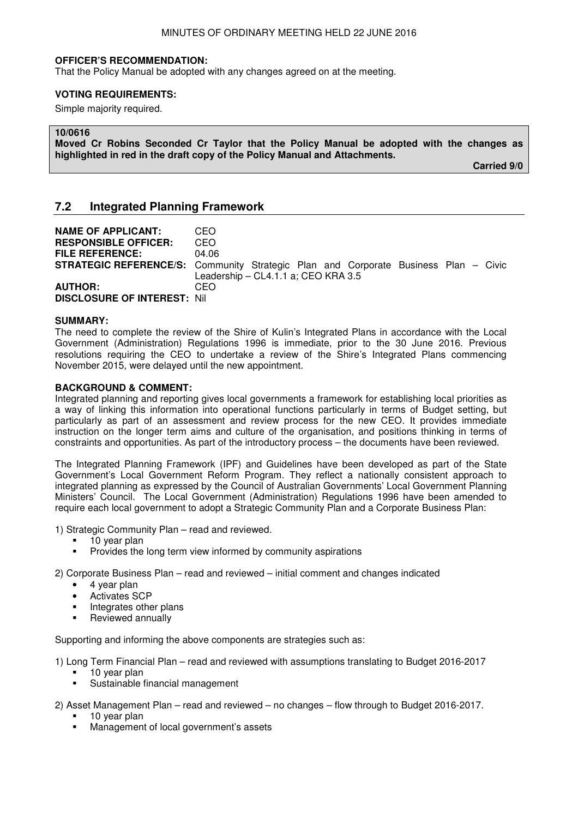#### **OFFICER'S RECOMMENDATION:**

That the Policy Manual be adopted with any changes agreed on at the meeting.

#### **VOTING REQUIREMENTS:**

Simple majority required.

#### **10/0616**

**Moved Cr Robins Seconded Cr Taylor that the Policy Manual be adopted with the changes as highlighted in red in the draft copy of the Policy Manual and Attachments.** 

**Carried 9/0** 

# **7.2 Integrated Planning Framework**

| <b>NAME OF APPLICANT:</b><br><b>RESPONSIBLE OFFICER:</b><br><b>FILE REFERENCE:</b> | CEO<br>CEO<br>04.06<br><b>STRATEGIC REFERENCE/S:</b> Community Strategic Plan and Corporate Business Plan – Civic<br>Leadership - CL4.1.1 a; CEO KRA 3.5 |
|------------------------------------------------------------------------------------|----------------------------------------------------------------------------------------------------------------------------------------------------------|
| <b>AUTHOR:</b><br><b>DISCLOSURE OF INTEREST: Nil</b>                               | CEO.                                                                                                                                                     |

#### **SUMMARY:**

The need to complete the review of the Shire of Kulin's Integrated Plans in accordance with the Local Government (Administration) Regulations 1996 is immediate, prior to the 30 June 2016. Previous resolutions requiring the CEO to undertake a review of the Shire's Integrated Plans commencing November 2015, were delayed until the new appointment.

#### **BACKGROUND & COMMENT:**

Integrated planning and reporting gives local governments a framework for establishing local priorities as a way of linking this information into operational functions particularly in terms of Budget setting, but particularly as part of an assessment and review process for the new CEO. It provides immediate instruction on the longer term aims and culture of the organisation, and positions thinking in terms of constraints and opportunities. As part of the introductory process – the documents have been reviewed.

The Integrated Planning Framework (IPF) and Guidelines have been developed as part of the State Government's Local Government Reform Program. They reflect a nationally consistent approach to integrated planning as expressed by the Council of Australian Governments' Local Government Planning Ministers' Council. The Local Government (Administration) Regulations 1996 have been amended to require each local government to adopt a Strategic Community Plan and a Corporate Business Plan:

1) Strategic Community Plan – read and reviewed.

- 10 year plan
- Provides the long term view informed by community aspirations

2) Corporate Business Plan – read and reviewed – initial comment and changes indicated

- 4 year plan
- Activates SCP
- **Integrates other plans**
- **Reviewed annually**

Supporting and informing the above components are strategies such as:

1) Long Term Financial Plan – read and reviewed with assumptions translating to Budget 2016-2017

- 10 year plan
- Sustainable financial management
- 2) Asset Management Plan read and reviewed no changes flow through to Budget 2016-2017.
	- 10 year plan
	- Management of local government's assets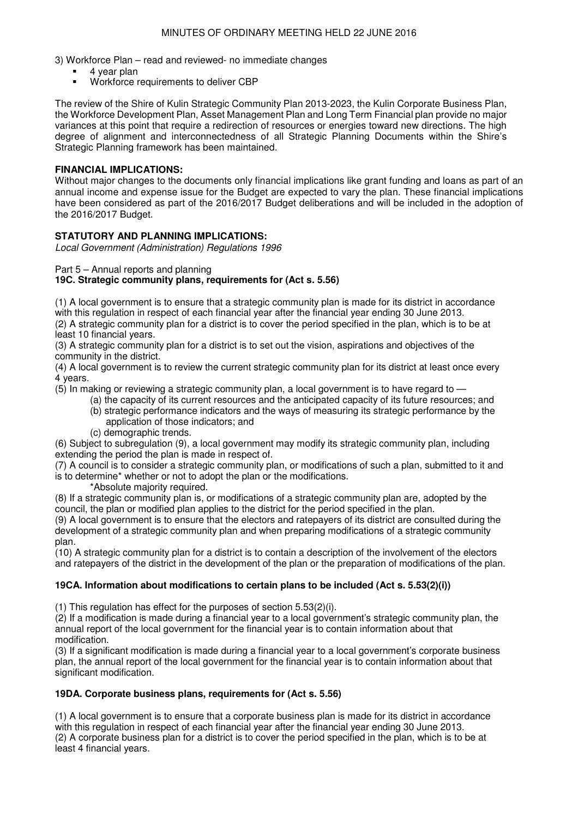3) Workforce Plan – read and reviewed- no immediate changes

- 4 year plan
- Workforce requirements to deliver CBP

The review of the Shire of Kulin Strategic Community Plan 2013-2023, the Kulin Corporate Business Plan, the Workforce Development Plan, Asset Management Plan and Long Term Financial plan provide no major variances at this point that require a redirection of resources or energies toward new directions. The high degree of alignment and interconnectedness of all Strategic Planning Documents within the Shire's Strategic Planning framework has been maintained.

# **FINANCIAL IMPLICATIONS:**

Without major changes to the documents only financial implications like grant funding and loans as part of an annual income and expense issue for the Budget are expected to vary the plan. These financial implications have been considered as part of the 2016/2017 Budget deliberations and will be included in the adoption of the 2016/2017 Budget.

# **STATUTORY AND PLANNING IMPLICATIONS:**

Local Government (Administration) Regulations 1996

#### Part 5 – Annual reports and planning

# **19C. Strategic community plans, requirements for (Act s. 5.56)**

(1) A local government is to ensure that a strategic community plan is made for its district in accordance with this regulation in respect of each financial year after the financial year ending 30 June 2013. (2) A strategic community plan for a district is to cover the period specified in the plan, which is to be at least 10 financial years.

(3) A strategic community plan for a district is to set out the vision, aspirations and objectives of the community in the district.

(4) A local government is to review the current strategic community plan for its district at least once every 4 years.

(5) In making or reviewing a strategic community plan, a local government is to have regard to —

- (a) the capacity of its current resources and the anticipated capacity of its future resources; and (b) strategic performance indicators and the ways of measuring its strategic performance by the
	- application of those indicators; and
- (c) demographic trends.

(6) Subject to subregulation (9), a local government may modify its strategic community plan, including extending the period the plan is made in respect of.

(7) A council is to consider a strategic community plan, or modifications of such a plan, submitted to it and is to determine\* whether or not to adopt the plan or the modifications.

\*Absolute majority required.

(8) If a strategic community plan is, or modifications of a strategic community plan are, adopted by the council, the plan or modified plan applies to the district for the period specified in the plan.

(9) A local government is to ensure that the electors and ratepayers of its district are consulted during the development of a strategic community plan and when preparing modifications of a strategic community plan.

(10) A strategic community plan for a district is to contain a description of the involvement of the electors and ratepayers of the district in the development of the plan or the preparation of modifications of the plan.

# **19CA. Information about modifications to certain plans to be included (Act s. 5.53(2)(i))**

(1) This regulation has effect for the purposes of section 5.53(2)(i).

(2) If a modification is made during a financial year to a local government's strategic community plan, the annual report of the local government for the financial year is to contain information about that modification.

(3) If a significant modification is made during a financial year to a local government's corporate business plan, the annual report of the local government for the financial year is to contain information about that significant modification.

# **19DA. Corporate business plans, requirements for (Act s. 5.56)**

(1) A local government is to ensure that a corporate business plan is made for its district in accordance with this regulation in respect of each financial year after the financial year ending 30 June 2013. (2) A corporate business plan for a district is to cover the period specified in the plan, which is to be at least 4 financial years.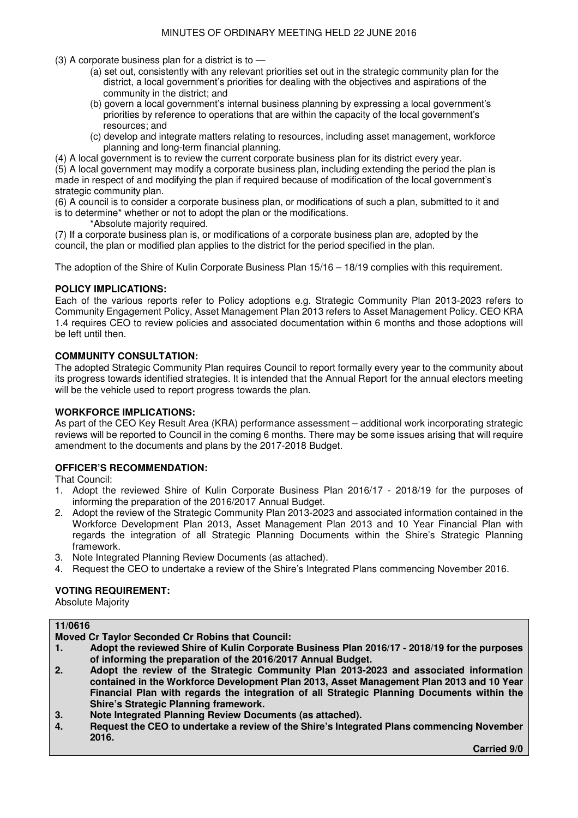(3) A corporate business plan for a district is to —

- (a) set out, consistently with any relevant priorities set out in the strategic community plan for the district, a local government's priorities for dealing with the objectives and aspirations of the community in the district; and
- (b) govern a local government's internal business planning by expressing a local government's priorities by reference to operations that are within the capacity of the local government's resources; and
- (c) develop and integrate matters relating to resources, including asset management, workforce planning and long-term financial planning.
- (4) A local government is to review the current corporate business plan for its district every year.

(5) A local government may modify a corporate business plan, including extending the period the plan is made in respect of and modifying the plan if required because of modification of the local government's strategic community plan.

(6) A council is to consider a corporate business plan, or modifications of such a plan, submitted to it and is to determine\* whether or not to adopt the plan or the modifications.

\*Absolute majority required.

(7) If a corporate business plan is, or modifications of a corporate business plan are, adopted by the council, the plan or modified plan applies to the district for the period specified in the plan.

The adoption of the Shire of Kulin Corporate Business Plan 15/16 – 18/19 complies with this requirement.

# **POLICY IMPLICATIONS:**

Each of the various reports refer to Policy adoptions e.g. Strategic Community Plan 2013-2023 refers to Community Engagement Policy, Asset Management Plan 2013 refers to Asset Management Policy. CEO KRA 1.4 requires CEO to review policies and associated documentation within 6 months and those adoptions will be left until then.

# **COMMUNITY CONSULTATION:**

The adopted Strategic Community Plan requires Council to report formally every year to the community about its progress towards identified strategies. It is intended that the Annual Report for the annual electors meeting will be the vehicle used to report progress towards the plan.

#### **WORKFORCE IMPLICATIONS:**

As part of the CEO Key Result Area (KRA) performance assessment – additional work incorporating strategic reviews will be reported to Council in the coming 6 months. There may be some issues arising that will require amendment to the documents and plans by the 2017-2018 Budget.

# **OFFICER'S RECOMMENDATION:**

That Council:

- 1. Adopt the reviewed Shire of Kulin Corporate Business Plan 2016/17 2018/19 for the purposes of informing the preparation of the 2016/2017 Annual Budget.
- 2. Adopt the review of the Strategic Community Plan 2013-2023 and associated information contained in the Workforce Development Plan 2013, Asset Management Plan 2013 and 10 Year Financial Plan with regards the integration of all Strategic Planning Documents within the Shire's Strategic Planning framework.
- 3. Note Integrated Planning Review Documents (as attached).
- 4. Request the CEO to undertake a review of the Shire's Integrated Plans commencing November 2016.

# **VOTING REQUIREMENT:**

Absolute Majority

| 11/0616 |                                                                                              |
|---------|----------------------------------------------------------------------------------------------|
|         | <b>Moved Cr Taylor Seconded Cr Robins that Council:</b>                                      |
| 17      | Adopt the reviewed Shire of Kulin Corporate Business Plan 2016/17 - 2018/19 for the purposes |
|         | of informing the preparation of the 2016/2017 Annual Budget.                                 |
| 2.      | Adopt the review of the Strategic Community Plan 2013-2023 and associated information        |
|         | contained in the Workforce Development Plan 2013, Asset Management Plan 2013 and 10 Year     |
|         | Financial Plan with regards the integration of all Strategic Planning Documents within the   |
|         | Shire's Strategic Planning framework.                                                        |
|         |                                                                                              |

- **3. Note Integrated Planning Review Documents (as attached).**
- **4. Request the CEO to undertake a review of the Shire's Integrated Plans commencing November 2016.**

 **Carried 9/0**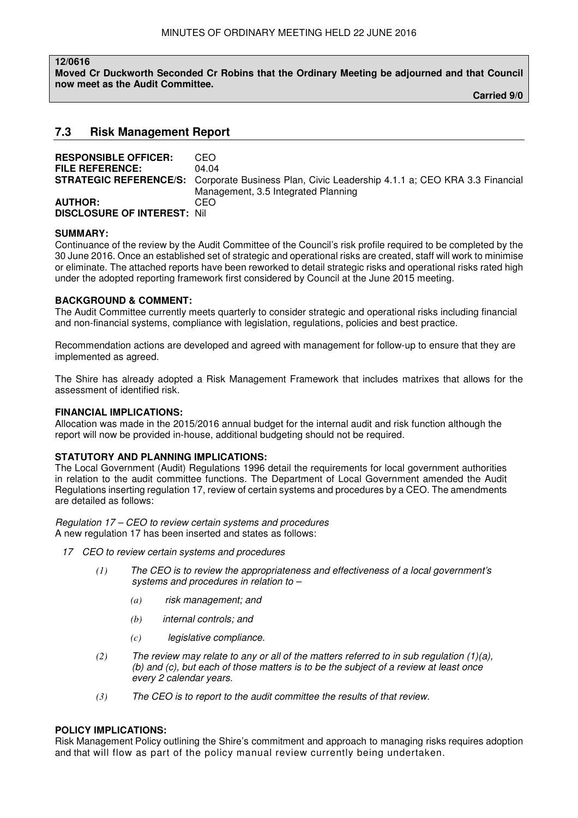#### **12/0616**

**Moved Cr Duckworth Seconded Cr Robins that the Ordinary Meeting be adjourned and that Council now meet as the Audit Committee.** 

**Carried 9/0** 

# **7.3 Risk Management Report**

| <b>RESPONSIBLE OFFICER:</b>        | CEO                                                                                                    |
|------------------------------------|--------------------------------------------------------------------------------------------------------|
| <b>FILE REFERENCE:</b>             | በ4 በ4                                                                                                  |
|                                    | <b>STRATEGIC REFERENCE/S:</b> Corporate Business Plan, Civic Leadership 4.1.1 a; CEO KRA 3.3 Financial |
|                                    | Management, 3.5 Integrated Planning                                                                    |
| <b>AUTHOR:</b>                     | CEO                                                                                                    |
| <b>DISCLOSURE OF INTEREST: Nil</b> |                                                                                                        |

#### **SUMMARY:**

Continuance of the review by the Audit Committee of the Council's risk profile required to be completed by the 30 June 2016. Once an established set of strategic and operational risks are created, staff will work to minimise or eliminate. The attached reports have been reworked to detail strategic risks and operational risks rated high under the adopted reporting framework first considered by Council at the June 2015 meeting.

#### **BACKGROUND & COMMENT:**

The Audit Committee currently meets quarterly to consider strategic and operational risks including financial and non-financial systems, compliance with legislation, regulations, policies and best practice.

Recommendation actions are developed and agreed with management for follow-up to ensure that they are implemented as agreed.

The Shire has already adopted a Risk Management Framework that includes matrixes that allows for the assessment of identified risk.

#### **FINANCIAL IMPLICATIONS:**

Allocation was made in the 2015/2016 annual budget for the internal audit and risk function although the report will now be provided in-house, additional budgeting should not be required.

#### **STATUTORY AND PLANNING IMPLICATIONS:**

The Local Government (Audit) Regulations 1996 detail the requirements for local government authorities in relation to the audit committee functions. The Department of Local Government amended the Audit Regulations inserting regulation 17, review of certain systems and procedures by a CEO. The amendments are detailed as follows:

Regulation 17 – CEO to review certain systems and procedures A new regulation 17 has been inserted and states as follows:

- 17 CEO to review certain systems and procedures
	- *(1)* The CEO is to review the appropriateness and effectiveness of a local government's systems and procedures in relation to –
		- *(a)* risk management; and
		- *(b)* internal controls; and
		- *(c)* legislative compliance.
	- *(2)* The review may relate to any or all of the matters referred to in sub regulation (1)(a), (b) and (c), but each of those matters is to be the subject of a review at least once every 2 calendar years.
	- *(3)* The CEO is to report to the audit committee the results of that review.

### **POLICY IMPLICATIONS:**

Risk Management Policy outlining the Shire's commitment and approach to managing risks requires adoption and that will flow as part of the policy manual review currently being undertaken.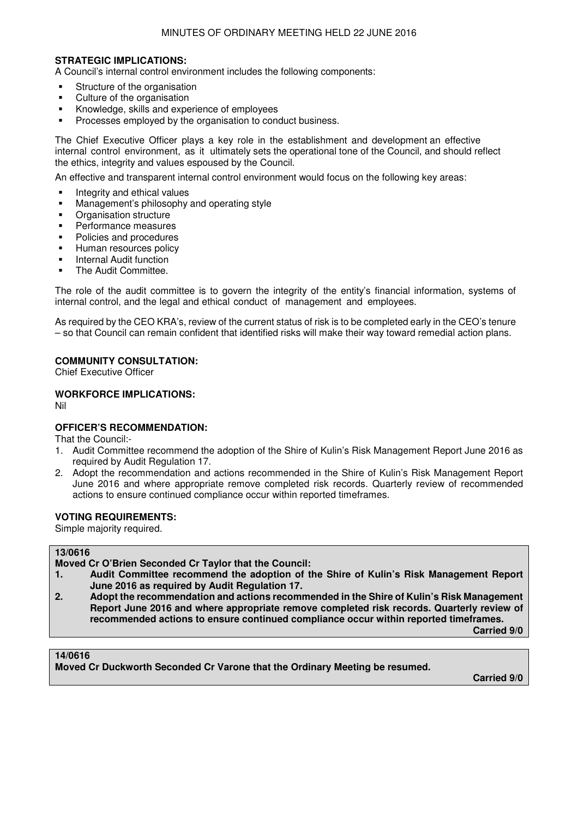#### MINUTES OF ORDINARY MEETING HELD 22 JUNE 2016

### **STRATEGIC IMPLICATIONS:**

A Council's internal control environment includes the following components:

- Structure of the organisation
- Culture of the organisation
- Knowledge, skills and experience of employees
- Processes employed by the organisation to conduct business.

The Chief Executive Officer plays a key role in the establishment and development an effective internal control environment, as it ultimately sets the operational tone of the Council, and should reflect the ethics, integrity and values espoused by the Council.

An effective and transparent internal control environment would focus on the following key areas:

- Integrity and ethical values
- **Management's philosophy and operating style**
- **•** Organisation structure
- Performance measures
- Policies and procedures
- Human resources policy
- Internal Audit function
- The Audit Committee.

The role of the audit committee is to govern the integrity of the entity's financial information, systems of internal control, and the legal and ethical conduct of management and employees.

As required by the CEO KRA's, review of the current status of risk is to be completed early in the CEO's tenure – so that Council can remain confident that identified risks will make their way toward remedial action plans.

### **COMMUNITY CONSULTATION:**

Chief Executive Officer

### **WORKFORCE IMPLICATIONS:**

Nil

# **OFFICER'S RECOMMENDATION:**

That the Council:-

- 1. Audit Committee recommend the adoption of the Shire of Kulin's Risk Management Report June 2016 as required by Audit Regulation 17.
- 2. Adopt the recommendation and actions recommended in the Shire of Kulin's Risk Management Report June 2016 and where appropriate remove completed risk records. Quarterly review of recommended actions to ensure continued compliance occur within reported timeframes.

# **VOTING REQUIREMENTS:**

Simple majority required.

### **13/0616**

**Moved Cr O'Brien Seconded Cr Taylor that the Council:** 

- **1. Audit Committee recommend the adoption of the Shire of Kulin's Risk Management Report June 2016 as required by Audit Regulation 17.**
- **2. Adopt the recommendation and actions recommended in the Shire of Kulin's Risk Management Report June 2016 and where appropriate remove completed risk records. Quarterly review of recommended actions to ensure continued compliance occur within reported timeframes.**

**Carried 9/0** 

#### **14/0616**

**Moved Cr Duckworth Seconded Cr Varone that the Ordinary Meeting be resumed.** 

**Carried 9/0**